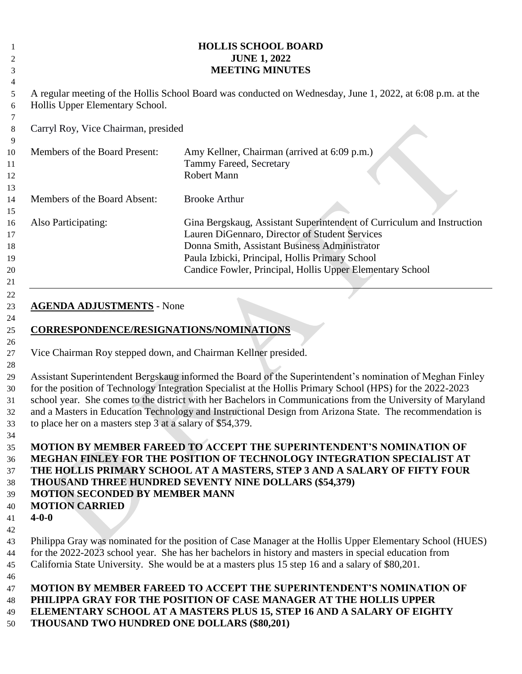| <b>HOLLIS SCHOOL BOARD</b><br><b>JUNE 1, 2022</b><br><b>MEETING MINUTES</b>                                                 |                                                                                                                                                                                                                                                                                                                                                                                                                                                    |
|-----------------------------------------------------------------------------------------------------------------------------|----------------------------------------------------------------------------------------------------------------------------------------------------------------------------------------------------------------------------------------------------------------------------------------------------------------------------------------------------------------------------------------------------------------------------------------------------|
| Hollis Upper Elementary School.                                                                                             | A regular meeting of the Hollis School Board was conducted on Wednesday, June 1, 2022, at 6:08 p.m. at the                                                                                                                                                                                                                                                                                                                                         |
| Carryl Roy, Vice Chairman, presided                                                                                         |                                                                                                                                                                                                                                                                                                                                                                                                                                                    |
| Members of the Board Present:                                                                                               | Amy Kellner, Chairman (arrived at 6:09 p.m.)<br>Tammy Fareed, Secretary<br>Robert Mann                                                                                                                                                                                                                                                                                                                                                             |
| Members of the Board Absent:                                                                                                | <b>Brooke Arthur</b>                                                                                                                                                                                                                                                                                                                                                                                                                               |
| Also Participating:                                                                                                         | Gina Bergskaug, Assistant Superintendent of Curriculum and Instruction<br>Lauren DiGennaro, Director of Student Services<br>Donna Smith, Assistant Business Administrator<br>Paula Izbicki, Principal, Hollis Primary School<br>Candice Fowler, Principal, Hollis Upper Elementary School                                                                                                                                                          |
| Vice Chairman Roy stepped down, and Chairman Kellner presided.<br>to place her on a masters step 3 at a salary of \$54,379. | Assistant Superintendent Bergskaug informed the Board of the Superintendent's nomination of Meghan Finley<br>for the position of Technology Integration Specialist at the Hollis Primary School (HPS) for the 2022-2023<br>school year. She comes to the district with her Bachelors in Communications from the University of Maryland<br>and a Masters in Education Technology and Instructional Design from Arizona State. The recommendation is |
| <b>MOTION SECONDED BY MEMBER MANN</b><br><b>MOTION CARRIED</b><br>$4 - 0 - 0$                                               | <b>MOTION BY MEMBER FAREED TO ACCEPT THE SUPERINTENDENT'S NOMINATION OF</b><br>MEGHAN FINLEY FOR THE POSITION OF TECHNOLOGY INTEGRATION SPECIALIST AT<br>THE HOLLIS PRIMARY SCHOOL AT A MASTERS, STEP 3 AND A SALARY OF FIFTY FOUR<br><b>THOUSAND THREE HUNDRED SEVENTY NINE DOLLARS (\$54,379)</b>                                                                                                                                                |
|                                                                                                                             | Philippa Gray was nominated for the position of Case Manager at the Hollis Upper Elementary School (HUES)<br>for the 2022-2023 school year. She has her bachelors in history and masters in special education from<br>California State University. She would be at a masters plus 15 step 16 and a salary of \$80,201.                                                                                                                             |
| <b>THOUSAND TWO HUNDRED ONE DOLLARS (\$80,201)</b>                                                                          | <b>MOTION BY MEMBER FAREED TO ACCEPT THE SUPERINTENDENT'S NOMINATION OF</b><br>PHILIPPA GRAY FOR THE POSITION OF CASE MANAGER AT THE HOLLIS UPPER<br>ELEMENTARY SCHOOL AT A MASTERS PLUS 15, STEP 16 AND A SALARY OF EIGHTY                                                                                                                                                                                                                        |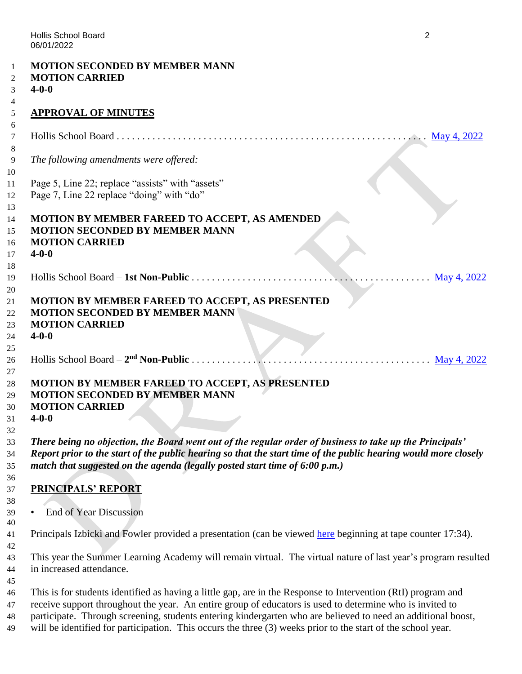|             | <b>MOTION SECONDED BY MEMBER MANN</b><br><b>MOTION CARRIED</b>                                                  |
|-------------|-----------------------------------------------------------------------------------------------------------------|
| $4 - 0 - 0$ |                                                                                                                 |
|             |                                                                                                                 |
|             | <b>APPROVAL OF MINUTES</b>                                                                                      |
|             |                                                                                                                 |
|             |                                                                                                                 |
|             | The following amendments were offered:                                                                          |
|             |                                                                                                                 |
|             | Page 5, Line 22; replace "assists" with "assets"                                                                |
|             | Page 7, Line 22 replace "doing" with "do"                                                                       |
|             |                                                                                                                 |
|             | MOTION BY MEMBER FAREED TO ACCEPT, AS AMENDED                                                                   |
|             | <b>MOTION SECONDED BY MEMBER MANN</b>                                                                           |
|             | <b>MOTION CARRIED</b>                                                                                           |
|             | $4 - 0 - 0$                                                                                                     |
|             | May 4, 2022                                                                                                     |
|             |                                                                                                                 |
|             | MOTION BY MEMBER FAREED TO ACCEPT, AS PRESENTED                                                                 |
|             | <b>MOTION SECONDED BY MEMBER MANN</b>                                                                           |
|             | <b>MOTION CARRIED</b>                                                                                           |
| $4 - 0 - 0$ |                                                                                                                 |
|             |                                                                                                                 |
|             | $\frac{1}{2}$ May 4, 2022<br>Hollis School Board – $2nd$ Non-Public                                             |
|             | MOTION BY MEMBER FAREED TO ACCEPT, AS PRESENTED                                                                 |
|             | <b>MOTION SECONDED BY MEMBER MANN</b>                                                                           |
|             | <b>MOTION CARRIED</b>                                                                                           |
| $4 - 0 - 0$ |                                                                                                                 |
|             |                                                                                                                 |
|             | There being no objection, the Board went out of the regular order of business to take up the Principals'        |
|             | Report prior to the start of the public hearing so that the start time of the public hearing would more closely |
|             | match that suggested on the agenda (legally posted start time of 6:00 p.m.)                                     |
|             | <b>PRINCIPALS' REPORT</b>                                                                                       |
|             |                                                                                                                 |
|             | <b>End of Year Discussion</b>                                                                                   |
|             |                                                                                                                 |
|             | Principals Izbicki and Fowler provided a presentation (can be viewed here beginning at tape counter 17:34).     |
|             |                                                                                                                 |
|             | This year the Summer Learning Academy will remain virtual. The virtual nature of last year's program resulted   |
|             | in increased attendance.                                                                                        |
|             | This is for students identified as having a little gap, are in the Response to Intervention (RtI) program and   |
|             | receive support throughout the year. An entire group of educators is used to determine who is invited to        |
|             | participate. Through screening, students entering kindergarten who are believed to need an additional boost,    |
|             | will be identified for participation. This occurs the three (3) weeks prior to the start of the school year.    |
|             |                                                                                                                 |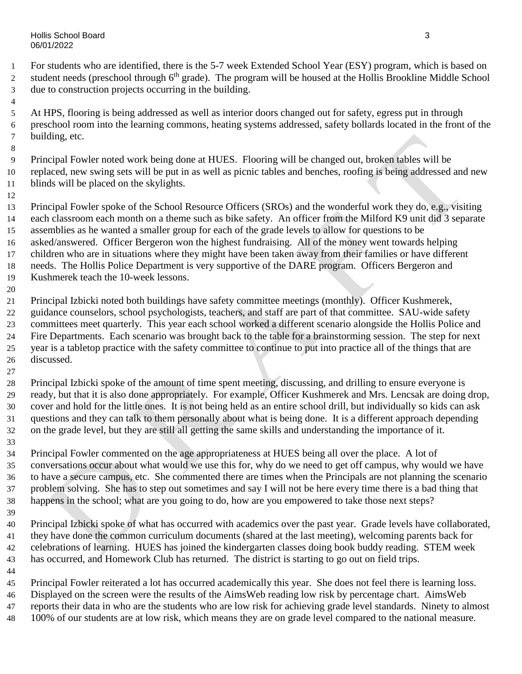Hollis School Board 3 06/01/2022

 For students who are identified, there is the 5-7 week Extended School Year (ESY) program, which is based on 2 student needs (preschool through 6<sup>th</sup> grade). The program will be housed at the Hollis Brookline Middle School due to construction projects occurring in the building.

 At HPS, flooring is being addressed as well as interior doors changed out for safety, egress put in through preschool room into the learning commons, heating systems addressed, safety bollards located in the front of the building, etc.

 Principal Fowler noted work being done at HUES. Flooring will be changed out, broken tables will be replaced, new swing sets will be put in as well as picnic tables and benches, roofing is being addressed and new blinds will be placed on the skylights.

 Principal Fowler spoke of the School Resource Officers (SROs) and the wonderful work they do, e.g., visiting each classroom each month on a theme such as bike safety. An officer from the Milford K9 unit did 3 separate assemblies as he wanted a smaller group for each of the grade levels to allow for questions to be asked/answered. Officer Bergeron won the highest fundraising. All of the money went towards helping children who are in situations where they might have been taken away from their families or have different needs. The Hollis Police Department is very supportive of the DARE program. Officers Bergeron and Kushmerek teach the 10-week lessons. Principal Izbicki noted both buildings have safety committee meetings (monthly). Officer Kushmerek,

- guidance counselors, school psychologists, teachers, and staff are part of that committee. SAU-wide safety committees meet quarterly. This year each school worked a different scenario alongside the Hollis Police and Fire Departments. Each scenario was brought back to the table for a brainstorming session. The step for next year is a tabletop practice with the safety committee to continue to put into practice all of the things that are discussed.
- Principal Izbicki spoke of the amount of time spent meeting, discussing, and drilling to ensure everyone is ready, but that it is also done appropriately. For example, Officer Kushmerek and Mrs. Lencsak are doing drop, cover and hold for the little ones. It is not being held as an entire school drill, but individually so kids can ask questions and they can talk to them personally about what is being done. It is a different approach depending on the grade level, but they are still all getting the same skills and understanding the importance of it.
- 

 Principal Fowler commented on the age appropriateness at HUES being all over the place. A lot of conversations occur about what would we use this for, why do we need to get off campus, why would we have to have a secure campus, etc. She commented there are times when the Principals are not planning the scenario problem solving. She has to step out sometimes and say I will not be here every time there is a bad thing that happens in the school; what are you going to do, how are you empowered to take those next steps?

 Principal Izbicki spoke of what has occurred with academics over the past year. Grade levels have collaborated, they have done the common curriculum documents (shared at the last meeting), welcoming parents back for celebrations of learning. HUES has joined the kindergarten classes doing book buddy reading. STEM week has occurred, and Homework Club has returned. The district is starting to go out on field trips.

 Principal Fowler reiterated a lot has occurred academically this year. She does not feel there is learning loss. Displayed on the screen were the results of the AimsWeb reading low risk by percentage chart. AimsWeb

reports their data in who are the students who are low risk for achieving grade level standards. Ninety to almost

100% of our students are at low risk, which means they are on grade level compared to the national measure.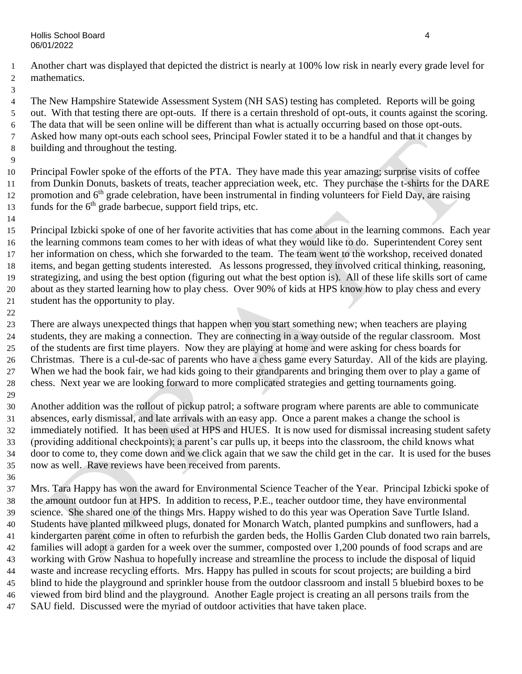- Another chart was displayed that depicted the district is nearly at 100% low risk in nearly every grade level for mathematics.
- 

 The New Hampshire Statewide Assessment System (NH SAS) testing has completed. Reports will be going out. With that testing there are opt-outs. If there is a certain threshold of opt-outs, it counts against the scoring. The data that will be seen online will be different than what is actually occurring based on those opt-outs. Asked how many opt-outs each school sees, Principal Fowler stated it to be a handful and that it changes by building and throughout the testing.

 Principal Fowler spoke of the efforts of the PTA. They have made this year amazing; surprise visits of coffee from Dunkin Donuts, baskets of treats, teacher appreciation week, etc. They purchase the t-shirts for the DARE 12 promotion and 6<sup>th</sup> grade celebration, have been instrumental in finding volunteers for Field Day, are raising funds for the  $6<sup>th</sup>$  grade barbecue, support field trips, etc.

 Principal Izbicki spoke of one of her favorite activities that has come about in the learning commons. Each year the learning commons team comes to her with ideas of what they would like to do. Superintendent Corey sent her information on chess, which she forwarded to the team. The team went to the workshop, received donated items, and began getting students interested. As lessons progressed, they involved critical thinking, reasoning, strategizing, and using the best option (figuring out what the best option is). All of these life skills sort of came about as they started learning how to play chess. Over 90% of kids at HPS know how to play chess and every student has the opportunity to play.

 There are always unexpected things that happen when you start something new; when teachers are playing students, they are making a connection. They are connecting in a way outside of the regular classroom. Most of the students are first time players. Now they are playing at home and were asking for chess boards for Christmas. There is a cul-de-sac of parents who have a chess game every Saturday. All of the kids are playing. When we had the book fair, we had kids going to their grandparents and bringing them over to play a game of chess. Next year we are looking forward to more complicated strategies and getting tournaments going. 

 Another addition was the rollout of pickup patrol; a software program where parents are able to communicate absences, early dismissal, and late arrivals with an easy app. Once a parent makes a change the school is immediately notified. It has been used at HPS and HUES. It is now used for dismissal increasing student safety (providing additional checkpoints); a parent's car pulls up, it beeps into the classroom, the child knows what door to come to, they come down and we click again that we saw the child get in the car. It is used for the buses now as well. Rave reviews have been received from parents. 

 Mrs. Tara Happy has won the award for Environmental Science Teacher of the Year. Principal Izbicki spoke of the amount outdoor fun at HPS. In addition to recess, P.E., teacher outdoor time, they have environmental science. She shared one of the things Mrs. Happy wished to do this year was Operation Save Turtle Island. Students have planted milkweed plugs, donated for Monarch Watch, planted pumpkins and sunflowers, had a kindergarten parent come in often to refurbish the garden beds, the Hollis Garden Club donated two rain barrels, families will adopt a garden for a week over the summer, composted over 1,200 pounds of food scraps and are working with Grow Nashua to hopefully increase and streamline the process to include the disposal of liquid waste and increase recycling efforts. Mrs. Happy has pulled in scouts for scout projects; are building a bird blind to hide the playground and sprinkler house from the outdoor classroom and install 5 bluebird boxes to be viewed from bird blind and the playground. Another Eagle project is creating an all persons trails from the SAU field. Discussed were the myriad of outdoor activities that have taken place.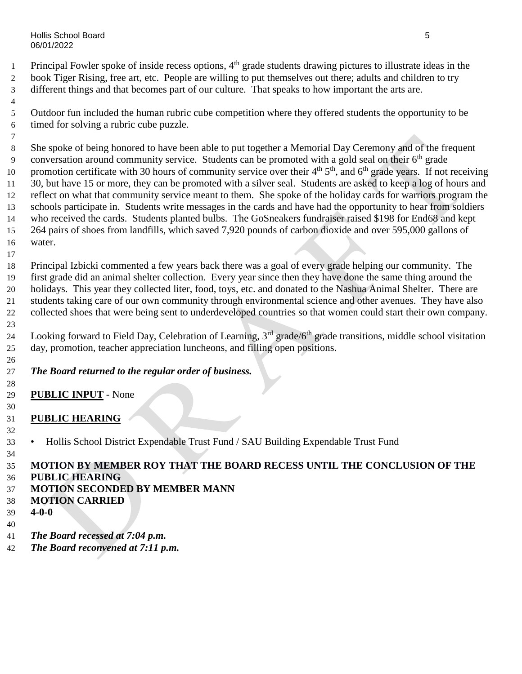Hollis School Board 5 06/01/2022

1 Principal Fowler spoke of inside recess options, 4<sup>th</sup> grade students drawing pictures to illustrate ideas in the book Tiger Rising, free art, etc. People are willing to put themselves out there; adults and children to try different things and that becomes part of our culture. That speaks to how important the arts are.

 Outdoor fun included the human rubric cube competition where they offered students the opportunity to be timed for solving a rubric cube puzzle.

 She spoke of being honored to have been able to put together a Memorial Day Ceremony and of the frequent 9 conversation around community service. Students can be promoted with a gold seal on their  $6<sup>th</sup>$  grade 10 promotion certificate with 30 hours of community service over their  $4<sup>th</sup> 5<sup>th</sup>$ , and  $6<sup>th</sup>$  grade years. If not receiving 30, but have 15 or more, they can be promoted with a silver seal. Students are asked to keep a log of hours and reflect on what that community service meant to them. She spoke of the holiday cards for warriors program the schools participate in. Students write messages in the cards and have had the opportunity to hear from soldiers who received the cards. Students planted bulbs. The GoSneakers fundraiser raised \$198 for End68 and kept 264 pairs of shoes from landfills, which saved 7,920 pounds of carbon dioxide and over 595,000 gallons of water.

 Principal Izbicki commented a few years back there was a goal of every grade helping our community. The first grade did an animal shelter collection. Every year since then they have done the same thing around the holidays. This year they collected liter, food, toys, etc. and donated to the Nashua Animal Shelter. There are students taking care of our own community through environmental science and other avenues. They have also collected shoes that were being sent to underdeveloped countries so that women could start their own company. 

24 Looking forward to Field Day, Celebration of Learning, 3<sup>rd</sup> grade/6<sup>th</sup> grade transitions, middle school visitation day, promotion, teacher appreciation luncheons, and filling open positions.

# *The Board returned to the regular order of business.*

- **PUBLIC INPUT** - None
- **PUBLIC HEARING**
- • Hollis School District Expendable Trust Fund / SAU Building Expendable Trust Fund
- **MOTION BY MEMBER ROY THAT THE BOARD RECESS UNTIL THE CONCLUSION OF THE**
- **PUBLIC HEARING**
- **MOTION SECONDED BY MEMBER MANN**
- **MOTION CARRIED**
- **4-0-0**
- 
- *The Board recessed at 7:04 p.m.*
- *The Board reconvened at 7:11 p.m.*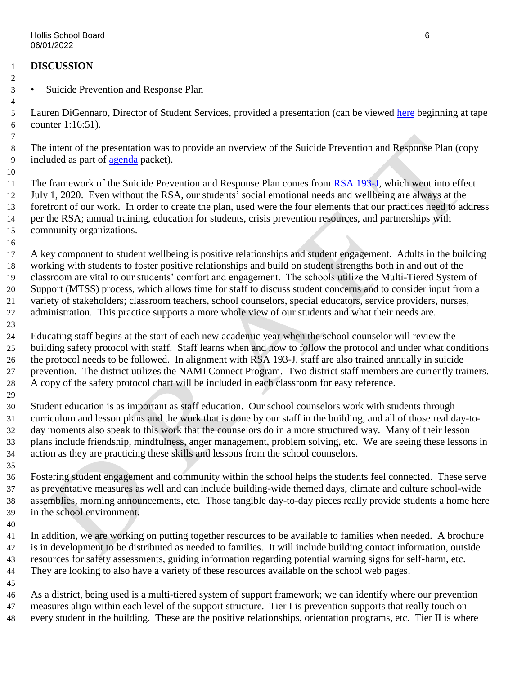#### **DISCUSSION**

• Suicide Prevention and Response Plan

 Lauren DiGennaro, Director of Student Services, provided a presentation (can be viewed [here](https://www.youtube.com/watch?v=B9UJNtt3DxU) beginning at tape counter 1:16:51).

 The intent of the presentation was to provide an overview of the Suicide Prevention and Response Plan (copy included as part of [agenda](https://www.sau41.org/docs/district/depts/108/hsb%20agenda%20packet%206-1-22.pdf?id=3179) packet).

11 The framework of the Suicide Prevention and Response Plan comes from [RSA 193-J,](https://www.gencourt.state.nh.us/rsa/html/XV/193-J/193-J-mrg.htm) which went into effect July 1, 2020. Even without the RSA, our students' social emotional needs and wellbeing are always at the forefront of our work. In order to create the plan, used were the four elements that our practices need to address per the RSA; annual training, education for students, crisis prevention resources, and partnerships with community organizations.

 A key component to student wellbeing is positive relationships and student engagement. Adults in the building working with students to foster positive relationships and build on student strengths both in and out of the classroom are vital to our students' comfort and engagement. The schools utilize the Multi-Tiered System of Support (MTSS) process, which allows time for staff to discuss student concerns and to consider input from a variety of stakeholders; classroom teachers, school counselors, special educators, service providers, nurses, administration. This practice supports a more whole view of our students and what their needs are.

 Educating staff begins at the start of each new academic year when the school counselor will review the building safety protocol with staff. Staff learns when and how to follow the protocol and under what conditions the protocol needs to be followed. In alignment with RSA 193-J, staff are also trained annually in suicide prevention. The district utilizes the NAMI Connect Program. Two district staff members are currently trainers. A copy of the safety protocol chart will be included in each classroom for easy reference.

 Student education is as important as staff education. Our school counselors work with students through curriculum and lesson plans and the work that is done by our staff in the building, and all of those real day-to- day moments also speak to this work that the counselors do in a more structured way. Many of their lesson plans include friendship, mindfulness, anger management, problem solving, etc. We are seeing these lessons in action as they are practicing these skills and lessons from the school counselors.

 Fostering student engagement and community within the school helps the students feel connected. These serve as preventative measures as well and can include building-wide themed days, climate and culture school-wide assemblies, morning announcements, etc. Those tangible day-to-day pieces really provide students a home here in the school environment.

 In addition, we are working on putting together resources to be available to families when needed. A brochure is in development to be distributed as needed to families. It will include building contact information, outside resources for safety assessments, guiding information regarding potential warning signs for self-harm, etc. They are looking to also have a variety of these resources available on the school web pages.

 As a district, being used is a multi-tiered system of support framework; we can identify where our prevention measures align within each level of the support structure. Tier I is prevention supports that really touch on every student in the building. These are the positive relationships, orientation programs, etc. Tier II is where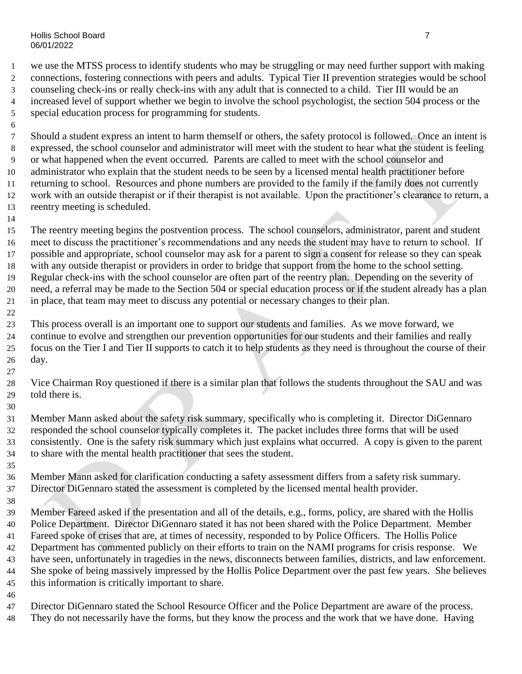Hollis School Board 7 06/01/2022

 we use the MTSS process to identify students who may be struggling or may need further support with making connections, fostering connections with peers and adults. Typical Tier II prevention strategies would be school counseling check-ins or really check-ins with any adult that is connected to a child. Tier III would be an increased level of support whether we begin to involve the school psychologist, the section 504 process or the special education process for programming for students.

 Should a student express an intent to harm themself or others, the safety protocol is followed. Once an intent is expressed, the school counselor and administrator will meet with the student to hear what the student is feeling or what happened when the event occurred. Parents are called to meet with the school counselor and administrator who explain that the student needs to be seen by a licensed mental health practitioner before returning to school. Resources and phone numbers are provided to the family if the family does not currently work with an outside therapist or if their therapist is not available. Upon the practitioner's clearance to return, a reentry meeting is scheduled.

 The reentry meeting begins the postvention process. The school counselors, administrator, parent and student meet to discuss the practitioner's recommendations and any needs the student may have to return to school. If possible and appropriate, school counselor may ask for a parent to sign a consent for release so they can speak with any outside therapist or providers in order to bridge that support from the home to the school setting. Regular check-ins with the school counselor are often part of the reentry plan. Depending on the severity of need, a referral may be made to the Section 504 or special education process or if the student already has a plan in place, that team may meet to discuss any potential or necessary changes to their plan.

 This process overall is an important one to support our students and families. As we move forward, we continue to evolve and strengthen our prevention opportunities for our students and their families and really focus on the Tier I and Tier II supports to catch it to help students as they need is throughout the course of their day.

 Vice Chairman Roy questioned if there is a similar plan that follows the students throughout the SAU and was told there is.

 Member Mann asked about the safety risk summary, specifically who is completing it. Director DiGennaro responded the school counselor typically completes it. The packet includes three forms that will be used consistently. One is the safety risk summary which just explains what occurred. A copy is given to the parent to share with the mental health practitioner that sees the student.

 Member Mann asked for clarification conducting a safety assessment differs from a safety risk summary. Director DiGennaro stated the assessment is completed by the licensed mental health provider.

 Member Fareed asked if the presentation and all of the details, e.g., forms, policy, are shared with the Hollis Police Department. Director DiGennaro stated it has not been shared with the Police Department. Member Fareed spoke of crises that are, at times of necessity, responded to by Police Officers. The Hollis Police Department has commented publicly on their efforts to train on the NAMI programs for crisis response. We have seen, unfortunately in tragedies in the news, disconnects between families, districts, and law enforcement. She spoke of being massively impressed by the Hollis Police Department over the past few years. She believes this information is critically important to share.

Director DiGennaro stated the School Resource Officer and the Police Department are aware of the process.

They do not necessarily have the forms, but they know the process and the work that we have done. Having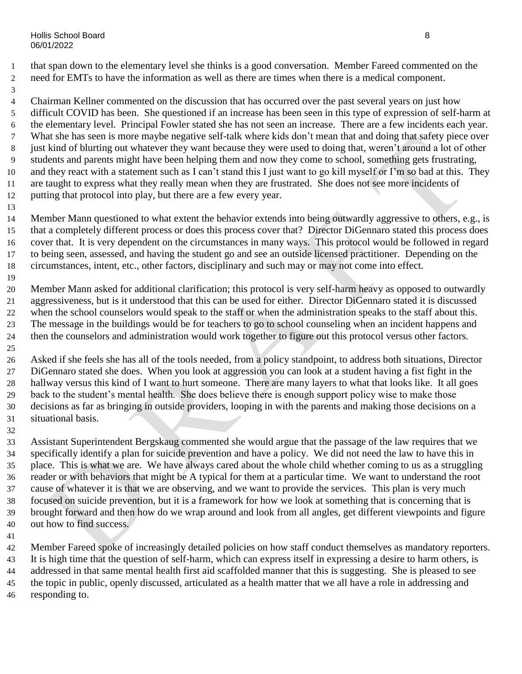that span down to the elementary level she thinks is a good conversation. Member Fareed commented on the need for EMTs to have the information as well as there are times when there is a medical component.

 Chairman Kellner commented on the discussion that has occurred over the past several years on just how difficult COVID has been. She questioned if an increase has been seen in this type of expression of self-harm at the elementary level. Principal Fowler stated she has not seen an increase. There are a few incidents each year. What she has seen is more maybe negative self-talk where kids don't mean that and doing that safety piece over 8 just kind of blurting out whatever they want because they were used to doing that, weren't around a lot of other students and parents might have been helping them and now they come to school, something gets frustrating, and they react with a statement such as I can't stand this I just want to go kill myself or I'm so bad at this. They are taught to express what they really mean when they are frustrated. She does not see more incidents of putting that protocol into play, but there are a few every year.

 Member Mann questioned to what extent the behavior extends into being outwardly aggressive to others, e.g., is that a completely different process or does this process cover that? Director DiGennaro stated this process does cover that. It is very dependent on the circumstances in many ways. This protocol would be followed in regard to being seen, assessed, and having the student go and see an outside licensed practitioner. Depending on the circumstances, intent, etc., other factors, disciplinary and such may or may not come into effect.

 Member Mann asked for additional clarification; this protocol is very self-harm heavy as opposed to outwardly aggressiveness, but is it understood that this can be used for either. Director DiGennaro stated it is discussed when the school counselors would speak to the staff or when the administration speaks to the staff about this. The message in the buildings would be for teachers to go to school counseling when an incident happens and then the counselors and administration would work together to figure out this protocol versus other factors. 

 Asked if she feels she has all of the tools needed, from a policy standpoint, to address both situations, Director DiGennaro stated she does. When you look at aggression you can look at a student having a fist fight in the hallway versus this kind of I want to hurt someone. There are many layers to what that looks like. It all goes back to the student's mental health. She does believe there is enough support policy wise to make those decisions as far as bringing in outside providers, looping in with the parents and making those decisions on a situational basis.

 Assistant Superintendent Bergskaug commented she would argue that the passage of the law requires that we specifically identify a plan for suicide prevention and have a policy. We did not need the law to have this in place. This is what we are. We have always cared about the whole child whether coming to us as a struggling reader or with behaviors that might be A typical for them at a particular time. We want to understand the root cause of whatever it is that we are observing, and we want to provide the services. This plan is very much focused on suicide prevention, but it is a framework for how we look at something that is concerning that is brought forward and then how do we wrap around and look from all angles, get different viewpoints and figure out how to find success.

 Member Fareed spoke of increasingly detailed policies on how staff conduct themselves as mandatory reporters. It is high time that the question of self-harm, which can express itself in expressing a desire to harm others, is addressed in that same mental health first aid scaffolded manner that this is suggesting. She is pleased to see the topic in public, openly discussed, articulated as a health matter that we all have a role in addressing and responding to.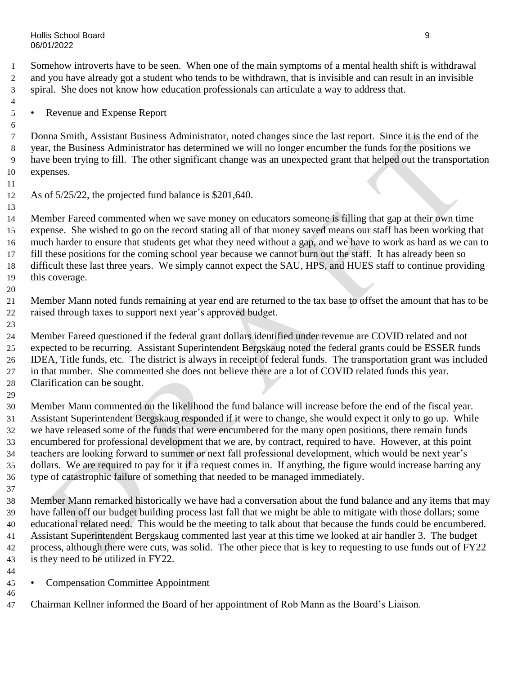Somehow introverts have to be seen. When one of the main symptoms of a mental health shift is withdrawal and you have already got a student who tends to be withdrawn, that is invisible and can result in an invisible spiral. She does not know how education professionals can articulate a way to address that.

• Revenue and Expense Report

 Donna Smith, Assistant Business Administrator, noted changes since the last report. Since it is the end of the year, the Business Administrator has determined we will no longer encumber the funds for the positions we have been trying to fill. The other significant change was an unexpected grant that helped out the transportation expenses.

As of 5/25/22, the projected fund balance is \$201,640.

 Member Fareed commented when we save money on educators someone is filling that gap at their own time expense. She wished to go on the record stating all of that money saved means our staff has been working that much harder to ensure that students get what they need without a gap, and we have to work as hard as we can to fill these positions for the coming school year because we cannot burn out the staff. It has already been so difficult these last three years. We simply cannot expect the SAU, HPS, and HUES staff to continue providing this coverage.

- Member Mann noted funds remaining at year end are returned to the tax base to offset the amount that has to be raised through taxes to support next year's approved budget.
- 

 Member Fareed questioned if the federal grant dollars identified under revenue are COVID related and not expected to be recurring. Assistant Superintendent Bergskaug noted the federal grants could be ESSER funds IDEA, Title funds, etc. The district is always in receipt of federal funds. The transportation grant was included in that number. She commented she does not believe there are a lot of COVID related funds this year. Clarification can be sought.

 Member Mann commented on the likelihood the fund balance will increase before the end of the fiscal year. Assistant Superintendent Bergskaug responded if it were to change, she would expect it only to go up. While we have released some of the funds that were encumbered for the many open positions, there remain funds encumbered for professional development that we are, by contract, required to have. However, at this point teachers are looking forward to summer or next fall professional development, which would be next year's dollars. We are required to pay for it if a request comes in. If anything, the figure would increase barring any type of catastrophic failure of something that needed to be managed immediately.

 Member Mann remarked historically we have had a conversation about the fund balance and any items that may have fallen off our budget building process last fall that we might be able to mitigate with those dollars; some educational related need. This would be the meeting to talk about that because the funds could be encumbered. Assistant Superintendent Bergskaug commented last year at this time we looked at air handler 3. The budget process, although there were cuts, was solid. The other piece that is key to requesting to use funds out of FY22 is they need to be utilized in FY22.

- Compensation Committee Appointment
- Chairman Kellner informed the Board of her appointment of Rob Mann as the Board's Liaison.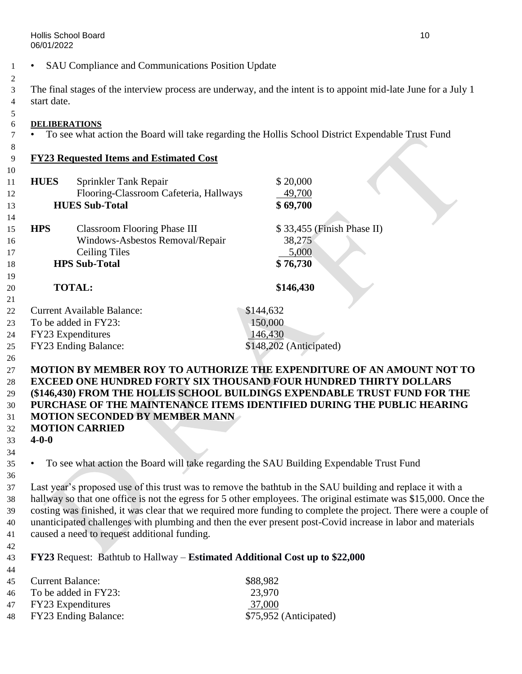• SAU Compliance and Communications Position Update

 The final stages of the interview process are underway, and the intent is to appoint mid-late June for a July 1 start date.

#### **DELIBERATIONS**

• To see what action the Board will take regarding the Hollis School District Expendable Trust Fund

### **FY23 Requested Items and Estimated Cost**

| 10 |             |                                        |                            |  |
|----|-------------|----------------------------------------|----------------------------|--|
| 11 | <b>HUES</b> | Sprinkler Tank Repair                  | \$20,000                   |  |
| 12 |             | Flooring-Classroom Cafeteria, Hallways | 49,700                     |  |
| 13 |             | <b>HUES Sub-Total</b>                  | \$69,700                   |  |
| 14 |             |                                        |                            |  |
| 15 | <b>HPS</b>  | <b>Classroom Flooring Phase III</b>    | \$33,455 (Finish Phase II) |  |
| 16 |             | Windows-Asbestos Removal/Repair        | 38,275                     |  |
| 17 |             | <b>Ceiling Tiles</b>                   | 5,000                      |  |
| 18 |             | <b>HPS Sub-Total</b>                   | \$76,730                   |  |
| 19 |             |                                        |                            |  |
| 20 |             | <b>TOTAL:</b>                          | \$146,430                  |  |
| 21 |             |                                        |                            |  |
| 22 |             | <b>Current Available Balance:</b>      | \$144,632                  |  |
| 23 |             | To be added in FY23:                   | 150,000                    |  |
| 24 |             | FY23 Expenditures                      | 146,430                    |  |
| 25 |             | FY23 Ending Balance:                   | \$148,202 (Anticipated)    |  |
| 26 |             |                                        |                            |  |
|    |             |                                        |                            |  |

#### **MOTION BY MEMBER ROY TO AUTHORIZE THE EXPENDITURE OF AN AMOUNT NOT TO EXCEED ONE HUNDRED FORTY SIX THOUSAND FOUR HUNDRED THIRTY DOLLARS (\$146,430) FROM THE HOLLIS SCHOOL BUILDINGS EXPENDABLE TRUST FUND FOR THE PURCHASE OF THE MAINTENANCE ITEMS IDENTIFIED DURING THE PUBLIC HEARING MOTION SECONDED BY MEMBER MANN**

**MOTION CARRIED**

 **4-0-0** 

### • To see what action the Board will take regarding the SAU Building Expendable Trust Fund

 Last year's proposed use of this trust was to remove the bathtub in the SAU building and replace it with a hallway so that one office is not the egress for 5 other employees. The original estimate was \$15,000. Once the costing was finished, it was clear that we required more funding to complete the project. There were a couple of unanticipated challenges with plumbing and then the ever present post-Covid increase in labor and materials caused a need to request additional funding.

**FY23** Request: Bathtub to Hallway – **Estimated Additional Cost up to \$22,000**

| 45 Current Balance:     | \$88,982               |
|-------------------------|------------------------|
| 46 To be added in FY23: | 23,970                 |
| 47 FY23 Expenditures    | 37,000                 |
| 48 FY23 Ending Balance: | \$75,952 (Anticipated) |
|                         |                        |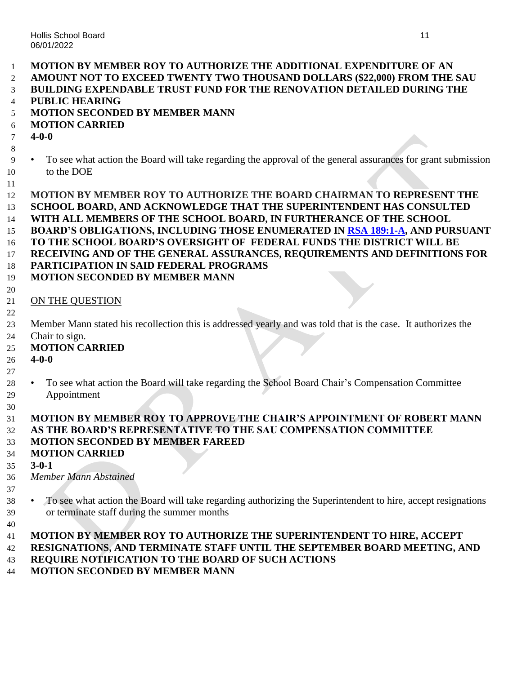| $\mathbf{1}$ | <b>MOTION BY MEMBER ROY TO AUTHORIZE THE ADDITIONAL EXPENDITURE OF AN</b>                                                 |
|--------------|---------------------------------------------------------------------------------------------------------------------------|
| 2            | AMOUNT NOT TO EXCEED TWENTY TWO THOUSAND DOLLARS (\$22,000) FROM THE SAU                                                  |
| 3            | <b>BUILDING EXPENDABLE TRUST FUND FOR THE RENOVATION DETAILED DURING THE</b>                                              |
| 4            | <b>PUBLIC HEARING</b>                                                                                                     |
| 5            | <b>MOTION SECONDED BY MEMBER MANN</b>                                                                                     |
| 6            | <b>MOTION CARRIED</b>                                                                                                     |
| $\tau$       | $4 - 0 - 0$                                                                                                               |
| 8            |                                                                                                                           |
| 9            | To see what action the Board will take regarding the approval of the general assurances for grant submission<br>$\bullet$ |
| 10           | to the DOE                                                                                                                |
| 11           |                                                                                                                           |
| 12           | MOTION BY MEMBER ROY TO AUTHORIZE THE BOARD CHAIRMAN TO REPRESENT THE                                                     |
| 13           | SCHOOL BOARD, AND ACKNOWLEDGE THAT THE SUPERINTENDENT HAS CONSULTED                                                       |
| 14           | WITH ALL MEMBERS OF THE SCHOOL BOARD, IN FURTHERANCE OF THE SCHOOL                                                        |
| 15           | <b>BOARD'S OBLIGATIONS, INCLUDING THOSE ENUMERATED IN RSA 189:1-A, AND PURSUANT</b>                                       |
| 16           | TO THE SCHOOL BOARD'S OVERSIGHT OF FEDERAL FUNDS THE DISTRICT WILL BE                                                     |
| 17           | RECEIVING AND OF THE GENERAL ASSURANCES, REQUIREMENTS AND DEFINITIONS FOR                                                 |
| 18           | PARTICIPATION IN SAID FEDERAL PROGRAMS                                                                                    |
| 19           | <b>MOTION SECONDED BY MEMBER MANN</b>                                                                                     |
| 20           |                                                                                                                           |
| 21           | ON THE QUESTION                                                                                                           |
| 22           |                                                                                                                           |
| 23           | Member Mann stated his recollection this is addressed yearly and was told that is the case. It authorizes the             |
| 24           | Chair to sign.<br><b>MOTION CARRIED</b>                                                                                   |
| 25<br>26     | $4 - 0 - 0$                                                                                                               |
| 27           |                                                                                                                           |
| 28           | To see what action the Board will take regarding the School Board Chair's Compensation Committee<br>$\bullet$             |
| 29           | Appointment                                                                                                               |
| 30           |                                                                                                                           |
| 31           | <b>MOTION BY MEMBER ROY TO APPROVE THE CHAIR'S APPOINTMENT OF ROBERT MANN</b>                                             |
| 32           | AS THE BOARD'S REPRESENTATIVE TO THE SAU COMPENSATION COMMITTEE                                                           |
| 33           | <b>MOTION SECONDED BY MEMBER FAREED</b>                                                                                   |
| 34           | <b>MOTION CARRIED</b>                                                                                                     |
| 35           | $3-0-1$                                                                                                                   |
| 36           | Member Mann Abstained                                                                                                     |
| 37           |                                                                                                                           |
| 38           | To see what action the Board will take regarding authorizing the Superintendent to hire, accept resignations              |
| 39           | or terminate staff during the summer months                                                                               |
| 40           |                                                                                                                           |
| 41           | MOTION BY MEMBER ROY TO AUTHORIZE THE SUPERINTENDENT TO HIRE, ACCEPT                                                      |
| 42           | RESIGNATIONS, AND TERMINATE STAFF UNTIL THE SEPTEMBER BOARD MEETING, AND                                                  |
| 43           | REQUIRE NOTIFICATION TO THE BOARD OF SUCH ACTIONS                                                                         |
| 44           | <b>MOTION SECONDED BY MEMBER MANN</b>                                                                                     |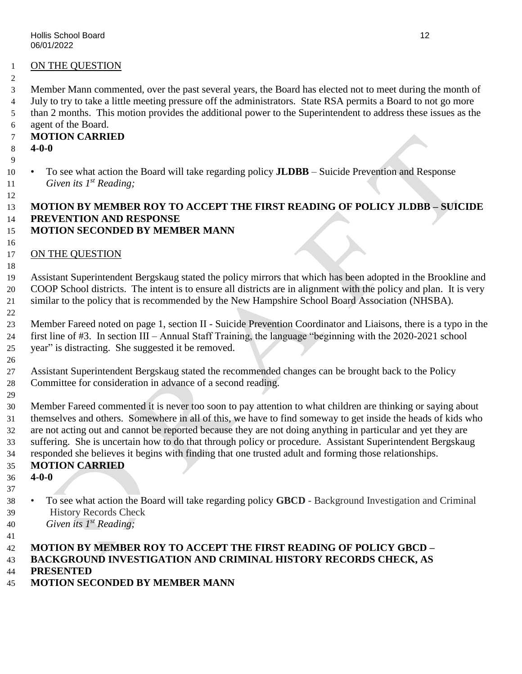#### ON THE QUESTION

Member Mann commented, over the past several years, the Board has elected not to meet during the month of

 July to try to take a little meeting pressure off the administrators. State RSA permits a Board to not go more than 2 months. This motion provides the additional power to the Superintendent to address these issues as the agent of the Board.

### **MOTION CARRIED**

**4-0-0**

 • To see what action the Board will take regarding policy **JLDBB** – Suicide Prevention and Response 11 *Given its 1<sup>st</sup> Reading*;

# **MOTION BY MEMBER ROY TO ACCEPT THE FIRST READING OF POLICY JLDBB – SUICIDE PREVENTION AND RESPONSE**

### **MOTION SECONDED BY MEMBER MANN**

#### 17 ON THE QUESTION

 Assistant Superintendent Bergskaug stated the policy mirrors that which has been adopted in the Brookline and COOP School districts. The intent is to ensure all districts are in alignment with the policy and plan. It is very similar to the policy that is recommended by the New Hampshire School Board Association (NHSBA).

 Member Fareed noted on page 1, section II - Suicide Prevention Coordinator and Liaisons, there is a typo in the first line of #3. In section III – Annual Staff Training, the language "beginning with the 2020-2021 school year" is distracting. She suggested it be removed.

 Assistant Superintendent Bergskaug stated the recommended changes can be brought back to the Policy Committee for consideration in advance of a second reading.

 Member Fareed commented it is never too soon to pay attention to what children are thinking or saying about themselves and others. Somewhere in all of this, we have to find someway to get inside the heads of kids who are not acting out and cannot be reported because they are not doing anything in particular and yet they are suffering. She is uncertain how to do that through policy or procedure. Assistant Superintendent Bergskaug responded she believes it begins with finding that one trusted adult and forming those relationships.

### **MOTION CARRIED**

- **4-0-0**
- To see what action the Board will take regarding policy **GBCD** Background Investigation and Criminal History Records Check
- *Given its 1st Reading;*
- 

#### **MOTION BY MEMBER ROY TO ACCEPT THE FIRST READING OF POLICY GBCD – BACKGROUND INVESTIGATION AND CRIMINAL HISTORY RECORDS CHECK, AS**

**PRESENTED**

# **MOTION SECONDED BY MEMBER MANN**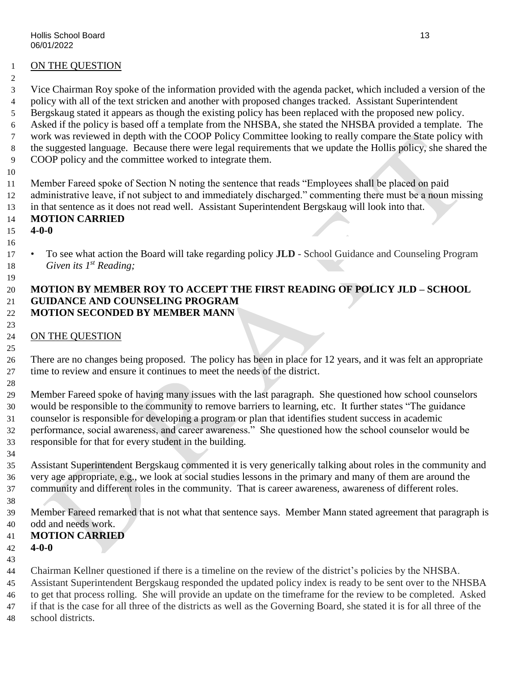#### ON THE QUESTION

Vice Chairman Roy spoke of the information provided with the agenda packet, which included a version of the

policy with all of the text stricken and another with proposed changes tracked. Assistant Superintendent

Bergskaug stated it appears as though the existing policy has been replaced with the proposed new policy.

Asked if the policy is based off a template from the NHSBA, she stated the NHSBA provided a template. The

- work was reviewed in depth with the COOP Policy Committee looking to really compare the State policy with the suggested language. Because there were legal requirements that we update the Hollis policy, she shared the
- COOP policy and the committee worked to integrate them.
- 

Member Fareed spoke of Section N noting the sentence that reads "Employees shall be placed on paid

- administrative leave, if not subject to and immediately discharged." commenting there must be a noun missing
- in that sentence as it does not read well. Assistant Superintendent Bergskaug will look into that.

# **MOTION CARRIED**

#### **4-0-0**

 • To see what action the Board will take regarding policy **JLD** - School Guidance and Counseling Program 18 *Given its 1<sup>st</sup> Reading;* 

#### **MOTION BY MEMBER ROY TO ACCEPT THE FIRST READING OF POLICY JLD – SCHOOL GUIDANCE AND COUNSELING PROGRAM MOTION SECONDED BY MEMBER MANN**

#### ON THE QUESTION

 There are no changes being proposed. The policy has been in place for 12 years, and it was felt an appropriate time to review and ensure it continues to meet the needs of the district.

 Member Fareed spoke of having many issues with the last paragraph. She questioned how school counselors would be responsible to the community to remove barriers to learning, etc. It further states "The guidance counselor is responsible for developing a program or plan that identifies student success in academic performance, social awareness, and career awareness." She questioned how the school counselor would be responsible for that for every student in the building.

 Assistant Superintendent Bergskaug commented it is very generically talking about roles in the community and very age appropriate, e.g., we look at social studies lessons in the primary and many of them are around the community and different roles in the community. That is career awareness, awareness of different roles.

 Member Fareed remarked that is not what that sentence says. Member Mann stated agreement that paragraph is odd and needs work.

# **MOTION CARRIED**

- **4-0-0**
- 

Chairman Kellner questioned if there is a timeline on the review of the district's policies by the NHSBA.

 Assistant Superintendent Bergskaug responded the updated policy index is ready to be sent over to the NHSBA to get that process rolling. She will provide an update on the timeframe for the review to be completed. Asked

- if that is the case for all three of the districts as well as the Governing Board, she stated it is for all three of the
- school districts.